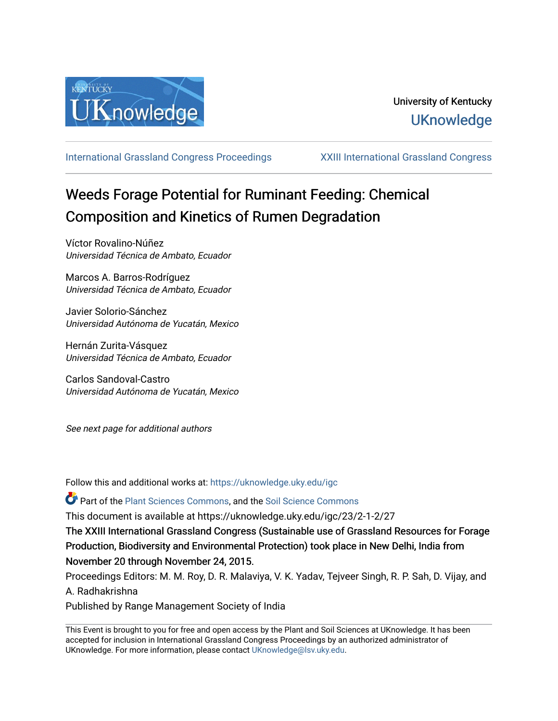

[International Grassland Congress Proceedings](https://uknowledge.uky.edu/igc) [XXIII International Grassland Congress](https://uknowledge.uky.edu/igc/23) 

# Weeds Forage Potential for Ruminant Feeding: Chemical Composition and Kinetics of Rumen Degradation

Víctor Rovalino-Núñez Universidad Técnica de Ambato, Ecuador

Marcos A. Barros-Rodríguez Universidad Técnica de Ambato, Ecuador

Javier Solorio-Sánchez Universidad Autónoma de Yucatán, Mexico

Hernán Zurita-Vásquez Universidad Técnica de Ambato, Ecuador

Carlos Sandoval-Castro Universidad Autónoma de Yucatán, Mexico

See next page for additional authors

Follow this and additional works at: [https://uknowledge.uky.edu/igc](https://uknowledge.uky.edu/igc?utm_source=uknowledge.uky.edu%2Figc%2F23%2F2-1-2%2F27&utm_medium=PDF&utm_campaign=PDFCoverPages) 

Part of the [Plant Sciences Commons](http://network.bepress.com/hgg/discipline/102?utm_source=uknowledge.uky.edu%2Figc%2F23%2F2-1-2%2F27&utm_medium=PDF&utm_campaign=PDFCoverPages), and the [Soil Science Commons](http://network.bepress.com/hgg/discipline/163?utm_source=uknowledge.uky.edu%2Figc%2F23%2F2-1-2%2F27&utm_medium=PDF&utm_campaign=PDFCoverPages) 

This document is available at https://uknowledge.uky.edu/igc/23/2-1-2/27

The XXIII International Grassland Congress (Sustainable use of Grassland Resources for Forage Production, Biodiversity and Environmental Protection) took place in New Delhi, India from November 20 through November 24, 2015.

Proceedings Editors: M. M. Roy, D. R. Malaviya, V. K. Yadav, Tejveer Singh, R. P. Sah, D. Vijay, and A. Radhakrishna

Published by Range Management Society of India

This Event is brought to you for free and open access by the Plant and Soil Sciences at UKnowledge. It has been accepted for inclusion in International Grassland Congress Proceedings by an authorized administrator of UKnowledge. For more information, please contact [UKnowledge@lsv.uky.edu](mailto:UKnowledge@lsv.uky.edu).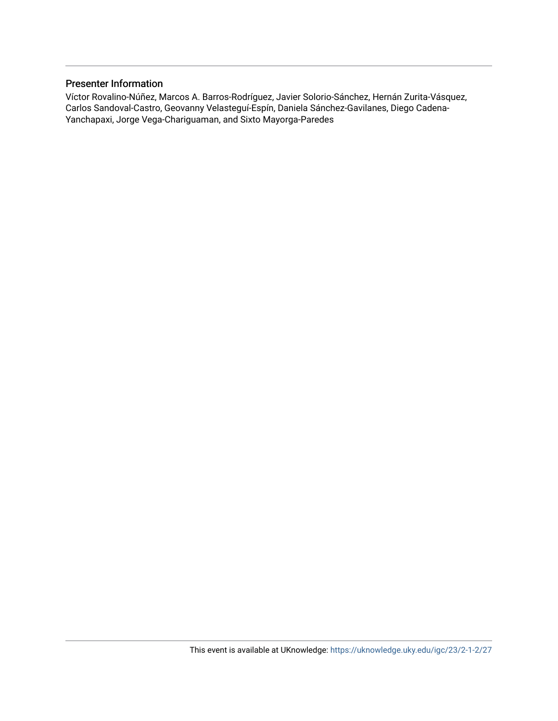# Presenter Information

Víctor Rovalino-Núñez, Marcos A. Barros-Rodríguez, Javier Solorio-Sánchez, Hernán Zurita-Vásquez, Carlos Sandoval-Castro, Geovanny Velasteguí-Espín, Daniela Sánchez-Gavilanes, Diego Cadena-Yanchapaxi, Jorge Vega-Chariguaman, and Sixto Mayorga-Paredes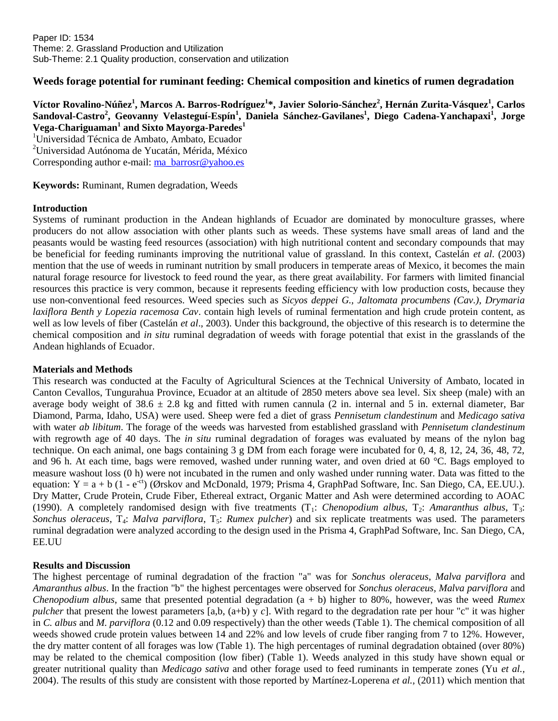# **Weeds forage potential for ruminant feeding: Chemical composition and kinetics of rumen degradation**

**Víctor Rovalino-Núñez<sup>1</sup> , Marcos A. Barros-Rodríguez<sup>1</sup> \*, Javier Solorio-Sánchez<sup>2</sup> , Hernán Zurita-Vásquez<sup>1</sup> , Carlos Sandoval-Castro<sup>2</sup> , Geovanny Velasteguí-Espín<sup>1</sup> , Daniela Sánchez-Gavilanes<sup>1</sup> , Diego Cadena-Yanchapaxi<sup>1</sup> , Jorge Vega-Chariguaman<sup>1</sup> and Sixto Mayorga-Paredes<sup>1</sup>**

<sup>1</sup>Universidad Técnica de Ambato, Ambato, Ecuador <sup>2</sup>Universidad Autónoma de Yucatán, Mérida, México Corresponding author e-mail: [ma\\_barrosr@yahoo.es](mailto:ma_barrosr@yahoo.es)

**Keywords:** Ruminant, Rumen degradation, Weeds

# **Introduction**

Systems of ruminant production in the Andean highlands of Ecuador are dominated by monoculture grasses, where producers do not allow association with other plants such as weeds. These systems have small areas of land and the peasants would be wasting feed resources (association) with high nutritional content and secondary compounds that may be beneficial for feeding ruminants improving the nutritional value of grassland. In this context, Castelán *et al*. (2003) mention that the use of weeds in ruminant nutrition by small producers in temperate areas of Mexico, it becomes the main natural forage resource for livestock to feed round the year, as there great availability. For farmers with limited financial resources this practice is very common, because it represents feeding efficiency with low production costs, because they use non-conventional feed resources. Weed species such as *Sicyos deppei G., Jaltomata procumbens (Cav.), Drymaria laxiflora Benth y Lopezia racemosa Cav*. contain high levels of ruminal fermentation and high crude protein content, as well as low levels of fiber (Castelán *et al*., 2003). Under this background, the objective of this research is to determine the chemical composition and *in situ* ruminal degradation of weeds with forage potential that exist in the grasslands of the Andean highlands of Ecuador.

#### **Materials and Methods**

This research was conducted at the Faculty of Agricultural Sciences at the Technical University of Ambato, located in Canton Cevallos, Tungurahua Province, Ecuador at an altitude of 2850 meters above sea level. Six sheep (male) with an average body weight of  $38.6 \pm 2.8$  kg and fitted with rumen cannula (2 in. internal and 5 in. external diameter, Bar Diamond, Parma, Idaho, USA) were used. Sheep were fed a diet of grass *Pennisetum clandestinum* and *Medicago sativa* with water *ab libitum*. The forage of the weeds was harvested from established grassland with *Pennisetum clandestinum* with regrowth age of 40 days. The *in situ* ruminal degradation of forages was evaluated by means of the nylon bag technique. On each animal, one bags containing 3 g DM from each forage were incubated for 0, 4, 8, 12, 24, 36, 48, 72, and 96 h. At each time, bags were removed, washed under running water, and oven dried at 60 °C. Bags employed to measure washout loss (0 h) were not incubated in the rumen and only washed under running water. Data was fitted to the equation:  $Y = a + b$  (1 - e<sup>-ct</sup>) (Ørskov and McDonald, 1979; Prisma 4, GraphPad Software, Inc. San Diego, CA, EE.UU.). Dry Matter, Crude Protein, Crude Fiber, Ethereal extract, Organic Matter and Ash were determined according to AOAC (1990). A completely randomised design with five treatments  $(T_1: *Chenopodium albus*,  $T_2: *Amaranthus albus*,  $T_3:$$$ *Sonchus oleraceus*, T<sub>4</sub>: *Malva parviflora*, T<sub>5</sub>: *Rumex pulcher*) and six replicate treatments was used. The parameters ruminal degradation were analyzed according to the design used in the Prisma 4, GraphPad Software, Inc. San Diego, CA, EE.UU

# **Results and Discussion**

The highest percentage of ruminal degradation of the fraction "a" was for *Sonchus oleraceus*, *Malva parviflora* and *Amaranthus albus*. In the fraction "b" the highest percentages were observed for *Sonchus oleraceus, Malva parviflora* and *Chenopodium albus*, same that presented potential degradation (a + b) higher to 80%, however, was the weed *Rumex pulcher* that present the lowest parameters [a,b, (a+b) y *c*]. With regard to the degradation rate per hour "c" it was higher in *C. albus* and *M. parviflora* (0.12 and 0.09 respectively) than the other weeds (Table 1). The chemical composition of all weeds showed crude protein values between 14 and 22% and low levels of crude fiber ranging from 7 to 12%. However, the dry matter content of all forages was low (Table 1). The high percentages of ruminal degradation obtained (over 80%) may be related to the chemical composition (low fiber) (Table 1). Weeds analyzed in this study have shown equal or greater nutritional quality than *Medicago sativa* and other forage used to feed ruminants in temperate zones (Yu *et al.,* 2004). The results of this study are consistent with those reported by Martínez-Loperena *et al.,* (2011) which mention that